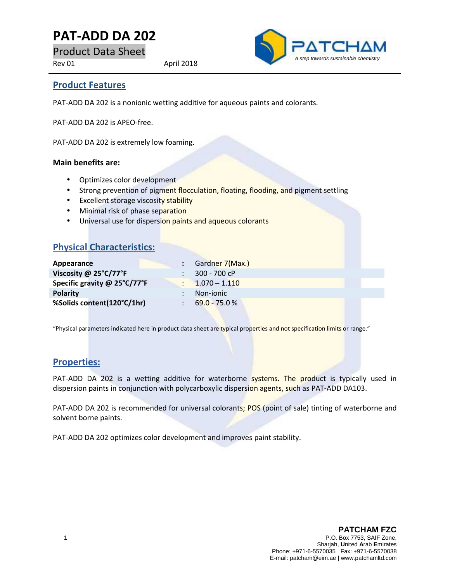# **PAT-ADD DA 202**

Product Data Sheet

Rev 01 April 2018



### **Product Features**

PAT-ADD DA 202 is a nonionic wetting additive for aqueous paints and colorants.

PAT-ADD DA 202 is APEO-free.

PAT-ADD DA 202 is extremely low foaming.

#### **Main benefits are:**

- Optimizes color development
- Strong prevention of pigment flocculation, floating, flooding, and pigment settling
- **Excellent storage viscosity stability**
- Minimal risk of phase separation
- Universal use for dispersion paints and aqueous colorants

## **Physical Characteristics:**

| Appearance                   | : Gardner 7(Max.) |
|------------------------------|-------------------|
| Viscosity @ 25°C/77°F        | 300 - 700 cP      |
| Specific gravity @ 25°C/77°F | $1.070 - 1.110$   |
| <b>Polarity</b>              | Non-jonic         |
| %Solids content(120°C/1hr)   | $69.0 - 75.0 %$   |
|                              |                   |

"Physical parameters indicated here in product data sheet are typical properties and not specification limits or range."

## **Properties:**

PAT-ADD DA 202 is a wetting additive for waterborne systems. The product is typically used in dispersion paints in conjunction with polycarboxylic dispersion agents, such as PAT-ADD DA103.

PAT-ADD DA 202 is recommended for universal colorants; POS (point of sale) tinting of waterborne and solvent borne paints.

PAT-ADD DA 202 optimizes color development and improves paint stability.